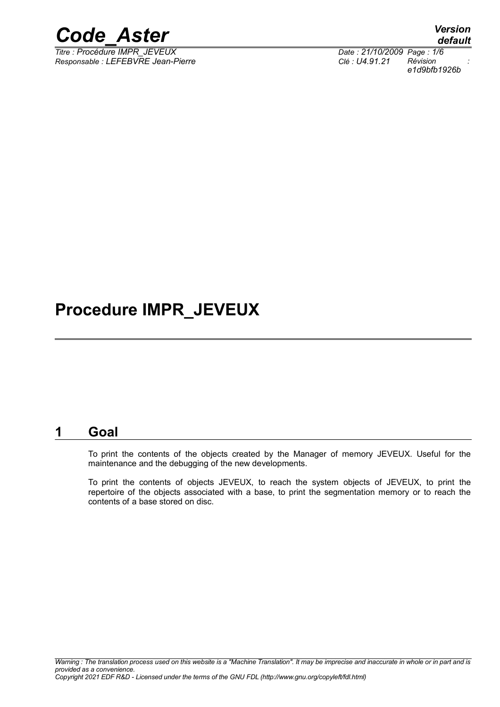

*Titre : Procédure IMPR\_JEVEUX Date : 21/10/2009 Page : 1/6 Responsable : LEFEBVRE Jean-Pierre Clé : U4.91.21 Révision :*

*default e1d9bfb1926b*

### **Procedure IMPR\_JEVEUX**

#### **1 Goal**

To print the contents of the objects created by the Manager of memory JEVEUX. Useful for the maintenance and the debugging of the new developments.

To print the contents of objects JEVEUX, to reach the system objects of JEVEUX, to print the repertoire of the objects associated with a base, to print the segmentation memory or to reach the contents of a base stored on disc.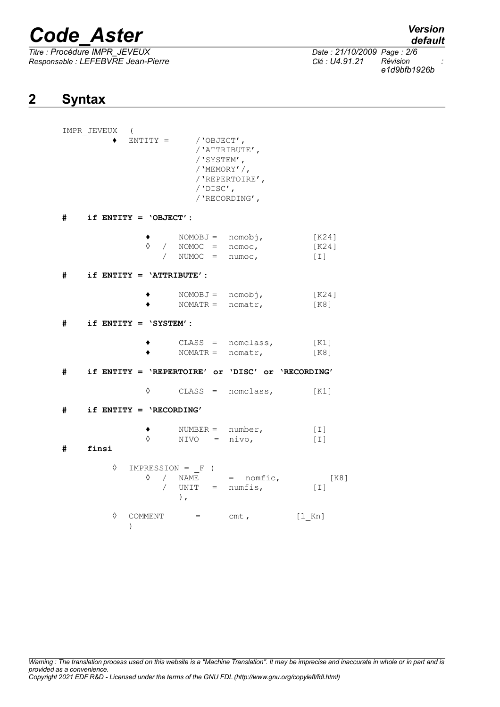*Titre : Procédure IMPR\_JEVEUX Date : 21/10/2009 Page : 2/6 Responsable : LEFEBVRE Jean-Pierre Clé : U4.91.21 Révision :*

*default*

*e1d9bfb1926b*

### **2 Syntax**

|   | IMPR JEVEUX<br>$\sqrt{2}$<br>$ENTITY =$ / 'OBJECT', | /'SYSTEM',<br>/ 'MEMORY' /,<br>/'DISC',                      | /'ATTRIBUTE',<br>/ 'REPERTOIRE',<br>/ 'RECORDING',                |                                                     |
|---|-----------------------------------------------------|--------------------------------------------------------------|-------------------------------------------------------------------|-----------------------------------------------------|
| # | if $ENTITY = 'OBJECT'$ :                            |                                                              |                                                                   |                                                     |
|   |                                                     | ↑ NOMOBJ = nomobj,<br>0 / NOMOC = nomoc,<br>/ NUMOC = numoc, |                                                                   | [K24]<br>[K24]<br>$\begin{bmatrix} 1 \end{bmatrix}$ |
| # | if $ENTITY = 'ATTRIBUTE':$                          |                                                              |                                                                   |                                                     |
|   |                                                     | $NOMOBJ = nomobj,$<br>NOMATR = $nomatr$ ,                    |                                                                   | [K24]<br>[K8]                                       |
| # | if $ENTITY = 'SYSTEM':$                             |                                                              |                                                                   |                                                     |
|   |                                                     |                                                              | $\texttt{CLASS} = \texttt{nomclass},$ [K1]<br>NOMATR = $nomatr$ , | [K8]                                                |
| # | if ENTITY = 'REPERTOIRE' or 'DISC' or 'RECORDING'   |                                                              |                                                                   |                                                     |
|   | ♦                                                   |                                                              | $\texttt{CLASS} = \texttt{nomclass},$ [K1]                        |                                                     |
| # | if $ENTITY = 'RECORDING'$                           |                                                              |                                                                   |                                                     |
| # | $\Diamond$<br>finsi                                 | $NUMBER = number,$<br>$NIVO = nivo,$                         |                                                                   | $[\;1]$<br>$[1]$                                    |
|   | $\Diamond$ IMPRESSION = $_F$ (<br>♦                 | $\rightarrow$                                                | / NAME = nomfic,<br>/ $UNIT = numfis,$                            | [K8]<br>$\lceil \,\,\perp \,\rceil$                 |
|   | ♦<br>$\lambda$                                      | COMMENT $=$ cmt,                                             |                                                                   | [1 Kn]                                              |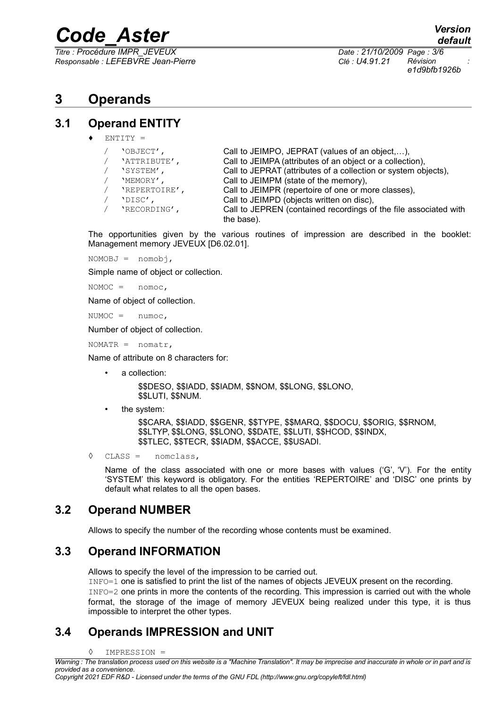*Titre : Procédure IMPR\_JEVEUX Date : 21/10/2009 Page : 3/6 Responsable : LEFEBVRE Jean-Pierre Clé : U4.91.21 Révision :*

*default*

*e1d9bfb1926b*

### **3 Operands**

#### **3.1 Operand ENTITY**

 $EMT$ T $Y =$ 

| 'OBJECT',     | Call to JEIMPO, JEPRAT (values of an object,),                                 |
|---------------|--------------------------------------------------------------------------------|
| 'ATTRIBUTE',  | Call to JEIMPA (attributes of an object or a collection),                      |
| 'SYSTEM',     | Call to JEPRAT (attributes of a collection or system objects),                 |
| 'MEMORY',     | Call to JEIMPM (state of the memory),                                          |
| 'REPERTOIRE', | Call to JEIMPR (repertoire of one or more classes),                            |
| 'DISC',       | Call to JEIMPD (objects written on disc),                                      |
| 'RECORDING',  | Call to JEPREN (contained recordings of the file associated with<br>the base). |

The opportunities given by the various routines of impression are described in the booklet: Management memory JEVEUX [D6.02.01].

NOMOBJ = nomobj,

Simple name of object or collection.

NOMOC = nomoc,

Name of object of collection.

 $NUMOC = numOC,$ 

Number of object of collection.

 $NOMATR = nomatr,$ 

Name of attribute on 8 characters for:

a collection:

\$\$DESO, \$\$IADD, \$\$IADM, \$\$NOM, \$\$LONG, \$\$LONO, \$\$LUTI, \$\$NUM.

• the system:

\$\$CARA, \$\$IADD, \$\$GENR, \$\$TYPE, \$\$MARQ, \$\$DOCU, \$\$ORIG, \$\$RNOM, \$\$LTYP, \$\$LONG, \$\$LONO, \$\$DATE, \$\$LUTI, \$\$HCOD, \$\$INDX, \$\$TLEC, \$\$TECR, \$\$IADM, \$\$ACCE, \$\$USADI.

◊ CLASS = nomclass,

Name of the class associated with one or more bases with values ( $G'$ ,  $V'$ ). For the entity 'SYSTEM' this keyword is obligatory. For the entities 'REPERTOIRE' and 'DISC' one prints by default what relates to all the open bases.

#### **3.2 Operand NUMBER**

Allows to specify the number of the recording whose contents must be examined.

#### **3.3 Operand INFORMATION**

Allows to specify the level of the impression to be carried out.

INFO=1 one is satisfied to print the list of the names of objects JEVEUX present on the recording. INFO=2 one prints in more the contents of the recording. This impression is carried out with the whole format, the storage of the image of memory JEVEUX being realized under this type, it is thus impossible to interpret the other types.

#### **3.4 Operands IMPRESSION and UNIT**

◊ IMPRESSION =

*Copyright 2021 EDF R&D - Licensed under the terms of the GNU FDL (http://www.gnu.org/copyleft/fdl.html)*

*Warning : The translation process used on this website is a "Machine Translation". It may be imprecise and inaccurate in whole or in part and is provided as a convenience.*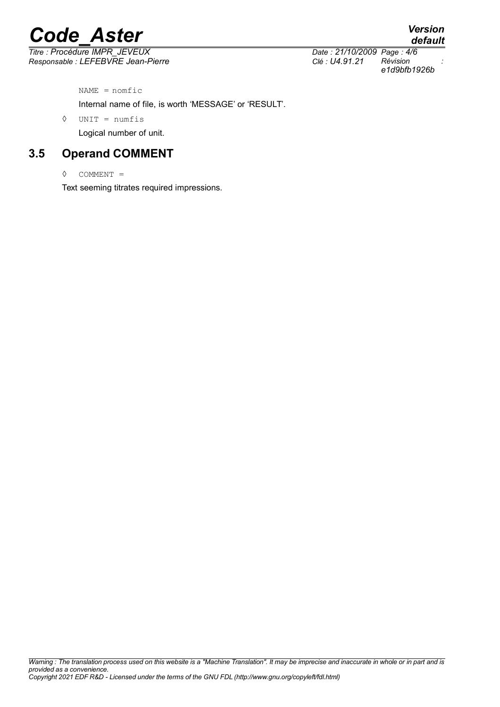*Titre : Procédure IMPR\_JEVEUX Date : 21/10/2009 Page : 4/6 Responsable : LEFEBVRE Jean-Pierre Clé : U4.91.21 Révision :*

*e1d9bfb1926b*

 $NAME = n$ omfic

Internal name of file, is worth 'MESSAGE' or 'RESULT'.

◊ UNIT = numfis

Logical number of unit.

#### **3.5 Operand COMMENT**

◊ COMMENT =

Text seeming titrates required impressions.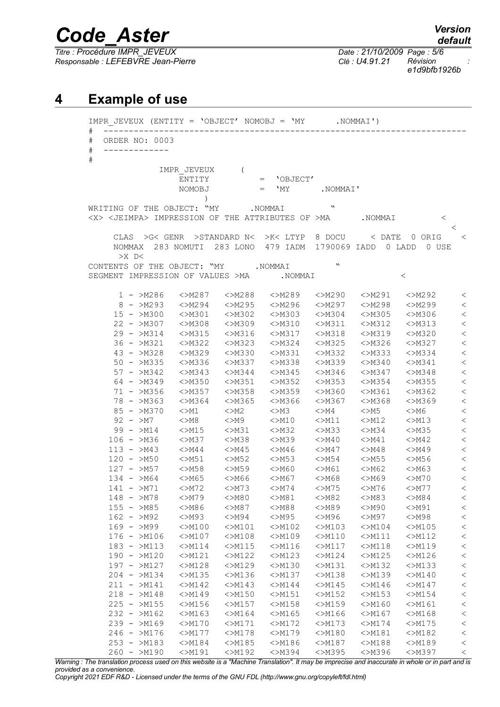*Titre : Procédure IMPR\_JEVEUX Date : 21/10/2009 Page : 5/6 Responsable : LEFEBVRE Jean-Pierre Clé : U4.91.21 Révision :*

*e1d9bfb1926b*

#### **4 Example of use**

IMPR\_JEVEUX (ENTITY = 'OBJECT' NOMOBJ = 'MY .NOMMAI') # ------------------------------------------------------------------------ # ORDER NO: 0003 # ------------- # IMPR\_JEVEUX ( ENTITY = 'OBJECT' NOMOBJ = 'MY .NOMMAI' ) WRITING OF THE OBJECT: "MY .NOMMAI <X> <JEIMPA> IMPRESSION OF THE ATTRIBUTES OF >MA .NOMMAI < < CLAS >G< GENR >STANDARD N< >K< LTYP 8 DOCU < DATE 0 ORIG < NOMMAX 283 NOMUTI 283 LONO 479 IADM 1790069 IADD 0 LADD 0 USE  $>$ X  $\Gamma$ CONTENTS OF THE OBJECT: "MY .NOMMAI " SEGMENT IMPRESSION OF VALUES >MA .NOMMAI < 1 - >M286 <>M287 <>M288 <>M289 <>M290 <>M291 <>M292 < 8 - >M293 <>M294 <>M295 <>M296 <>M297 <>M298 <>M299 < 15 - >M300 <>M301 <>M302 <>M303 <>M304 <>M305 <>M306 <<br>22 - >M307 <>M308 <>M309 <>M310 <>M311 <>M312 <>M313 < 22 - >M307 <>M308 <>M309 <>M310 <>M311 <>M312 <>M313 < 29 - >M314 <>M315 <>M316 <>M317 <>M318 <>M319 <>M320 <<br>36 - >M321 <>M322 <>M323 <>M324 <>M325 <>M326 <>M327 < 36 - >M321 <>M322 <>M323 <>M324 <>M325 <>M326 <>M327 < 43 - >M328 <>M329 <>M330 <>M331 <>M332 <>M333 <>M334 < 50 - >M335 <>M336 <>M337 <>M338 <>M339 <>M340 <>M341 < 57 - >M342 <>M343 <>M344 <>M345 <>M346 <>M347 <>M348 < 64 - >M349 <>M350 <>M351 <>M352 <>M353 <>M354 <>M355 < 71 - >M356 <>M357 <>M358 <>M359 <>M360 <>M361 <>M362 < <>M364 <>M365 <>M366 <>M367 <>M368 <>M369 < 85 - >M370 <>M1 <>M2 <>M3 <>M4 <>M5 <>M6 < 92 – >M7 <>M8 <>M9 <>M10 <>M11 <>M12 <>M13 < 99 - >M14 <>M15 <>M31 <>M32 <>M33 <>M34 <>M35 < 106 - >M36 <>M37 <>M38 <>M39 <>M40 <>M41 <>M42 < 113 - >M43 <>M44 <>M45 <>M46 <>M47 <>M48 <>M49 < 120 - >M50 <>M51 <>M52 <>M53 <>M54 <>M55 <>M56 < 127 - >M57 <>M58 <>M59 <>M60 <>M61 <>M62 <>M63 < 134 - >M64 <>M65 <>M66 <>M67 <>M68 <>M69 <>M70 < 141 - >M71 <>M72 <>M73 <>M74 <>M75 <>M76 <>M77 < 148 - >M78 <>M79 <>M80 <>M81 <>M82 <>M83 <>M84 < 155 - >M85 <>M86 <>M87 <>M88 <>M89 <>M90 <>M91 < 162 - >M92 <>M93 <>M94 <>M95 <>M96 <>M97 <>M98 < 169 - >M99 <>M100 <>M101 <>M102 <>M103 <>M104 <>M105 < 176 - >M106 <>M107 <>M108 <>M109 <>M110 <>M111 <>M112 < 183 - >M113 <>M114 <>M115 <>M116 <>M117 <>M118 <>M119 < 190 - >M120 <>M121 <>M122 <>M123 <>M124 <>M125 <>M126 < 197 - >M127 <>M128 <>M129 <>M130 <>M131 <>M132 <>M133 < 204 - >M134 <>M135 <>M136 <>M137 <>M138 <>M139 <>M140 < 211 - >M141 <>M142 <>M143 <>M144 <>M145 <>M146 <>M147 <<br>218 - >M148 <>M149 <>M150 <>M151 <>M152 <>M153 <>M154 < 218 - >M148 <>M149 <>M150 <>M151 <>M152 <>M153 <>M154 < 225 - >M155 <>M156 <>M157 <>M158 <>M159 <>M160 <>M161 < 232 - >M162 <>M163 <>M164 <>M165 <>M166 <>M167 <>M168 < 239 - >M169 <>M170 <>M171 <>M172 <>M173 <>M174 <>M175 < 246 - >M176 <>M177 <>M178 <>M179 <>M180 <>M181 <>M182 < 253 - >M183 <>M184 <>M185 <>M186 <>M187 <>M188 <>M189 < 260 - >M190 <>M191 <>M192 <>M394 <>M395 <>M396 <>M397 <

*Warning : The translation process used on this website is a "Machine Translation". It may be imprecise and inaccurate in whole or in part and is provided as a convenience.*

*Copyright 2021 EDF R&D - Licensed under the terms of the GNU FDL (http://www.gnu.org/copyleft/fdl.html)*